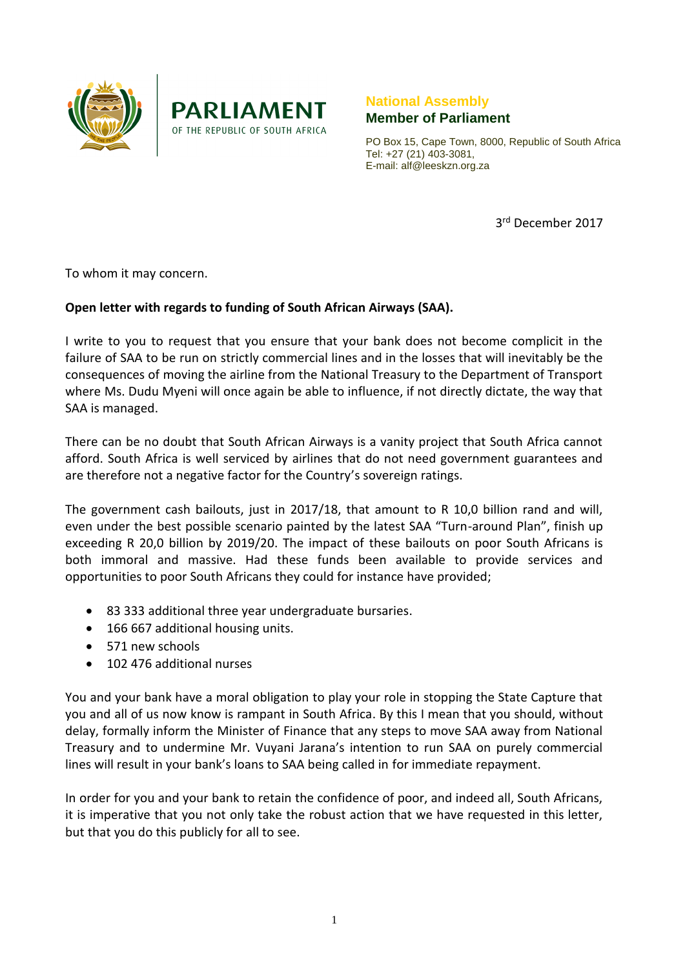



## **National Assembly Member of Parliament**

PO Box 15, Cape Town, 8000, Republic of South Africa Tel: +27 (21) 403-3081, E-mail: alf@leeskzn.org.za

3 rd December 2017

To whom it may concern.

## **Open letter with regards to funding of South African Airways (SAA).**

I write to you to request that you ensure that your bank does not become complicit in the failure of SAA to be run on strictly commercial lines and in the losses that will inevitably be the consequences of moving the airline from the National Treasury to the Department of Transport where Ms. Dudu Myeni will once again be able to influence, if not directly dictate, the way that SAA is managed.

There can be no doubt that South African Airways is a vanity project that South Africa cannot afford. South Africa is well serviced by airlines that do not need government guarantees and are therefore not a negative factor for the Country's sovereign ratings.

The government cash bailouts, just in 2017/18, that amount to R 10,0 billion rand and will, even under the best possible scenario painted by the latest SAA "Turn-around Plan", finish up exceeding R 20,0 billion by 2019/20. The impact of these bailouts on poor South Africans is both immoral and massive. Had these funds been available to provide services and opportunities to poor South Africans they could for instance have provided;

- 83 333 additional three year undergraduate bursaries.
- 166 667 additional housing units.
- 571 new schools
- 102 476 additional nurses

You and your bank have a moral obligation to play your role in stopping the State Capture that you and all of us now know is rampant in South Africa. By this I mean that you should, without delay, formally inform the Minister of Finance that any steps to move SAA away from National Treasury and to undermine Mr. Vuyani Jarana's intention to run SAA on purely commercial lines will result in your bank's loans to SAA being called in for immediate repayment.

In order for you and your bank to retain the confidence of poor, and indeed all, South Africans, it is imperative that you not only take the robust action that we have requested in this letter, but that you do this publicly for all to see.